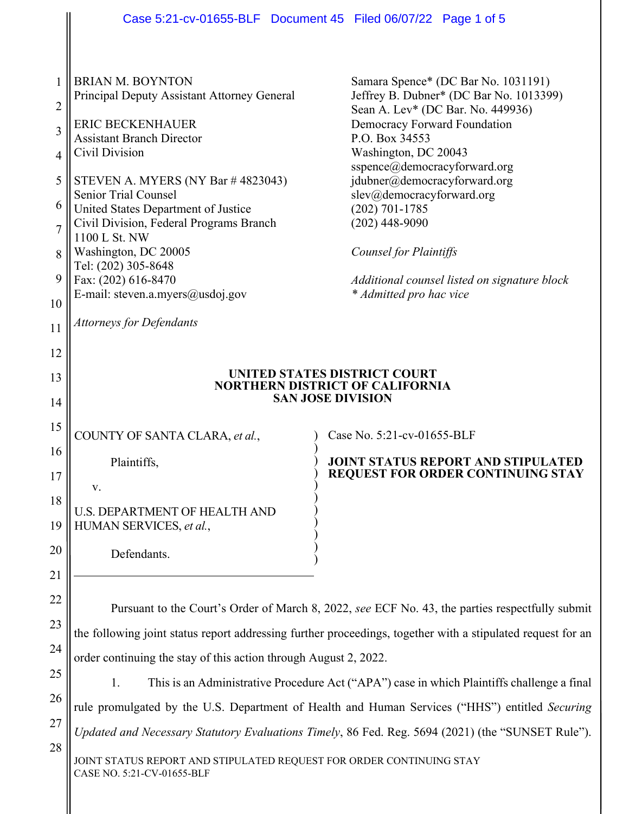|                | Case 5:21-cv-01655-BLF Document 45 Filed 06/07/22 Page 1 of 5                                               |                                                                                                   |
|----------------|-------------------------------------------------------------------------------------------------------------|---------------------------------------------------------------------------------------------------|
|                |                                                                                                             |                                                                                                   |
|                |                                                                                                             |                                                                                                   |
| 1              | <b>BRIAN M. BOYNTON</b>                                                                                     | Samara Spence* (DC Bar No. 1031191)                                                               |
| $\overline{2}$ | Principal Deputy Assistant Attorney General                                                                 | Jeffrey B. Dubner* (DC Bar No. 1013399)                                                           |
|                | <b>ERIC BECKENHAUER</b>                                                                                     | Sean A. Lev* (DC Bar. No. 449936)<br><b>Democracy Forward Foundation</b>                          |
| 3              | <b>Assistant Branch Director</b>                                                                            | P.O. Box 34553                                                                                    |
| 4              | Civil Division                                                                                              | Washington, DC 20043<br>sspence@democracyforward.org                                              |
| 5              | STEVEN A. MYERS (NY Bar #4823043)                                                                           | jdubner@democracyforward.org                                                                      |
| 6              | <b>Senior Trial Counsel</b>                                                                                 | slev@democracyforward.org                                                                         |
|                | United States Department of Justice<br>Civil Division, Federal Programs Branch                              | $(202) 701 - 1785$<br>$(202)$ 448-9090                                                            |
| $\overline{7}$ | 1100 L St. NW                                                                                               |                                                                                                   |
| 8              | Washington, DC 20005                                                                                        | Counsel for Plaintiffs                                                                            |
| 9              | Tel: (202) 305-8648<br>Fax: (202) 616-8470                                                                  | Additional counsel listed on signature block                                                      |
|                | E-mail: steven.a.myers@usdoj.gov                                                                            | * Admitted pro hac vice                                                                           |
| 10             |                                                                                                             |                                                                                                   |
| 11             | <b>Attorneys for Defendants</b>                                                                             |                                                                                                   |
| 12             |                                                                                                             |                                                                                                   |
| 13             |                                                                                                             | UNITED STATES DISTRICT COURT                                                                      |
| 14             | <b>NORTHERN DISTRICT OF CALIFORNIA</b><br><b>SAN JOSE DIVISION</b>                                          |                                                                                                   |
|                |                                                                                                             |                                                                                                   |
| 15             | COUNTY OF SANTA CLARA, et al.,                                                                              | Case No. 5:21-cv-01655-BLF                                                                        |
| 16             | Plaintiffs,                                                                                                 | <b>JOINT STATUS REPORT AND STIPULATED</b>                                                         |
| 17             |                                                                                                             | <b>REQUEST FOR ORDER CONTINUING STAY</b>                                                          |
| 18             | v.                                                                                                          |                                                                                                   |
| 19             | <b>U.S. DEPARTMENT OF HEALTH AND</b><br>HUMAN SERVICES, et al.,                                             |                                                                                                   |
|                |                                                                                                             |                                                                                                   |
| 20             | Defendants.                                                                                                 |                                                                                                   |
| 21             |                                                                                                             |                                                                                                   |
| 22             |                                                                                                             |                                                                                                   |
| 23             |                                                                                                             | Pursuant to the Court's Order of March 8, 2022, see ECF No. 43, the parties respectfully submit   |
|                | the following joint status report addressing further proceedings, together with a stipulated request for an |                                                                                                   |
| 24             | order continuing the stay of this action through August 2, 2022.                                            |                                                                                                   |
| 25             | This is an Administrative Procedure Act ("APA") case in which Plaintiffs challenge a final<br>1.            |                                                                                                   |
| 26             |                                                                                                             | rule promulgated by the U.S. Department of Health and Human Services ("HHS") entitled Securing    |
| 27             |                                                                                                             | Updated and Necessary Statutory Evaluations Timely, 86 Fed. Reg. 5694 (2021) (the "SUNSET Rule"). |
| 28             |                                                                                                             |                                                                                                   |
|                | JOINT STATUS REPORT AND STIPULATED REQUEST FOR ORDER CONTINUING STAY<br>CASE NO. 5:21-CV-01655-BLF          |                                                                                                   |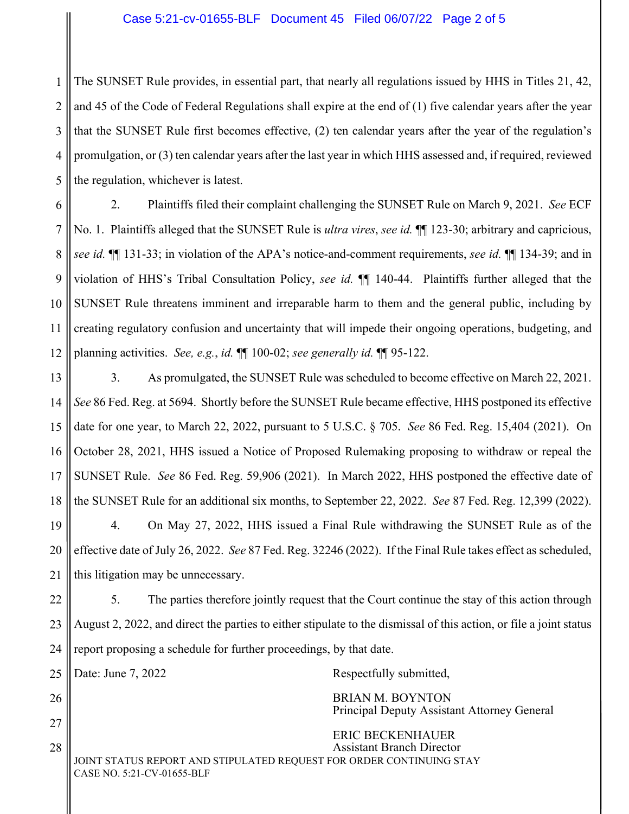## Case 5:21-cv-01655-BLF Document 45 Filed 06/07/22 Page 2 of 5

1 2 3 4 5 The SUNSET Rule provides, in essential part, that nearly all regulations issued by HHS in Titles 21, 42, and 45 of the Code of Federal Regulations shall expire at the end of (1) five calendar years after the year that the SUNSET Rule first becomes effective, (2) ten calendar years after the year of the regulation's promulgation, or (3) ten calendar years after the last year in which HHS assessed and, if required, reviewed the regulation, whichever is latest.

6 7 8 9 10 11 12 2. Plaintiffs filed their complaint challenging the SUNSET Rule on March 9, 2021. *See* ECF No. 1. Plaintiffs alleged that the SUNSET Rule is *ultra vires*, *see id.* ¶¶ 123-30; arbitrary and capricious, *see id.* ¶¶ 131-33; in violation of the APA's notice-and-comment requirements, *see id.* ¶¶ 134-39; and in violation of HHS's Tribal Consultation Policy, *see id.* ¶¶ 140-44. Plaintiffs further alleged that the SUNSET Rule threatens imminent and irreparable harm to them and the general public, including by creating regulatory confusion and uncertainty that will impede their ongoing operations, budgeting, and planning activities. *See, e.g.*, *id.* ¶¶ 100-02; *see generally id.* ¶¶ 95-122.

13 14 15 16 17 18 19 20 21 3. As promulgated, the SUNSET Rule was scheduled to become effective on March 22, 2021. *See* 86 Fed. Reg. at 5694. Shortly before the SUNSET Rule became effective, HHS postponed its effective date for one year, to March 22, 2022, pursuant to 5 U.S.C. § 705. *See* 86 Fed. Reg. 15,404 (2021). On October 28, 2021, HHS issued a Notice of Proposed Rulemaking proposing to withdraw or repeal the SUNSET Rule. *See* 86 Fed. Reg. 59,906 (2021). In March 2022, HHS postponed the effective date of the SUNSET Rule for an additional six months, to September 22, 2022. *See* 87 Fed. Reg. 12,399 (2022). 4. On May 27, 2022, HHS issued a Final Rule withdrawing the SUNSET Rule as of the effective date of July 26, 2022. *See* 87 Fed. Reg. 32246 (2022). If the Final Rule takes effect as scheduled, this litigation may be unnecessary.

22 23 24 5. The parties therefore jointly request that the Court continue the stay of this action through August 2, 2022, and direct the parties to either stipulate to the dismissal of this action, or file a joint status report proposing a schedule for further proceedings, by that date.

25

26

27

28

Date: June 7, 2022 Respectfully submitted,

 BRIAN M. BOYNTON Principal Deputy Assistant Attorney General

JOINT STATUS REPORT AND STIPULATED REQUEST FOR ORDER CONTINUING STAY CASE NO. 5:21-CV-01655-BLF ERIC BECKENHAUER Assistant Branch Director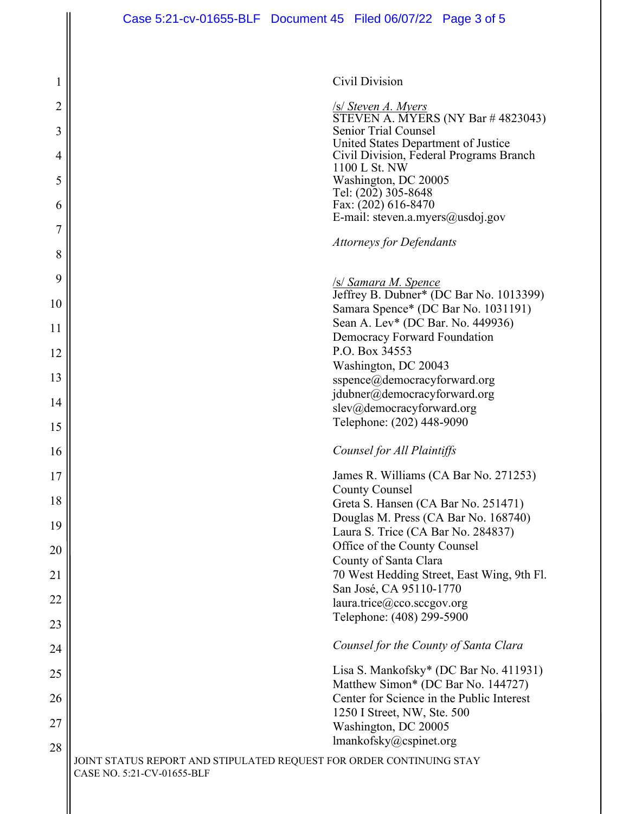1

2

3

4

5

6

7

8

9

10

11

12

13

14

15

16

17

18

19

20

21

22

23

24

25

26

27

28

Civil Division

/s/ *Steven A. Myers*  STEVEN A. MYERS (NY Bar # 4823043) Senior Trial Counsel United States Department of Justice Civil Division, Federal Programs Branch 1100 L St. NW Washington, DC 20005 Tel: (202) 305-8648 Fax: (202) 616-8470 E-mail: steven.a.myers@usdoj.gov

*Attorneys for Defendants*

/s/ *Samara M. Spence* 

Jeffrey B. Dubner\* (DC Bar No. 1013399) Samara Spence\* (DC Bar No. 1031191) Sean A. Lev\* (DC Bar. No. 449936) Democracy Forward Foundation P.O. Box 34553 Washington, DC 20043 sspence@democracyforward.org jdubner@democracyforward.org slev@democracyforward.org Telephone: (202) 448-9090

## *Counsel for All Plaintiffs*

James R. Williams (CA Bar No. 271253) County Counsel Greta S. Hansen (CA Bar No. 251471) Douglas M. Press (CA Bar No. 168740) Laura S. Trice (CA Bar No. 284837) Office of the County Counsel County of Santa Clara 70 West Hedding Street, East Wing, 9th Fl. San José, CA 95110-1770 laura.trice@cco.sccgov.org Telephone: (408) 299-5900

## *Counsel for the County of Santa Clara*

Lisa S. Mankofsky\* (DC Bar No. 411931) Matthew Simon\* (DC Bar No. 144727) Center for Science in the Public Interest 1250 I Street, NW, Ste. 500 Washington, DC 20005 lmankofsky@cspinet.org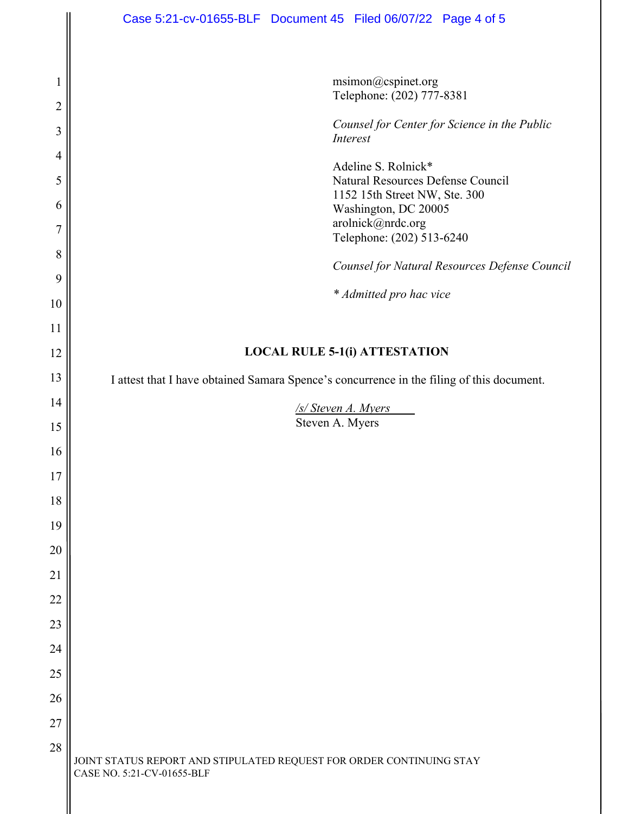|                | Case 5:21-cv-01655-BLF  Document 45  Filed 06/07/22  Page 4 of 5                                   |
|----------------|----------------------------------------------------------------------------------------------------|
|                |                                                                                                    |
|                | msimon@cspinet.org                                                                                 |
| $\overline{2}$ | Telephone: (202) 777-8381                                                                          |
| 3              | Counsel for Center for Science in the Public<br>Interest                                           |
| 4              | Adeline S. Rolnick*                                                                                |
| 5              | Natural Resources Defense Council<br>1152 15th Street NW, Ste. 300                                 |
| 6              | Washington, DC 20005                                                                               |
| $\overline{7}$ | arolnick@nrdc.org<br>Telephone: (202) 513-6240                                                     |
| 8<br>9         | Counsel for Natural Resources Defense Council                                                      |
| 10             | * Admitted pro hac vice                                                                            |
| 11             |                                                                                                    |
| 12             | <b>LOCAL RULE 5-1(i) ATTESTATION</b>                                                               |
| 13             | I attest that I have obtained Samara Spence's concurrence in the filing of this document.          |
| 14             | /s/ Steven A. Myers                                                                                |
| 15             | Steven A. Myers                                                                                    |
| 16             |                                                                                                    |
| 17             |                                                                                                    |
| 18             |                                                                                                    |
| 19             |                                                                                                    |
| 20             |                                                                                                    |
| 21             |                                                                                                    |
| 22             |                                                                                                    |
| 23             |                                                                                                    |
| 24             |                                                                                                    |
| 25             |                                                                                                    |
| 26<br>27       |                                                                                                    |
| 28             |                                                                                                    |
|                | JOINT STATUS REPORT AND STIPULATED REQUEST FOR ORDER CONTINUING STAY<br>CASE NO. 5:21-CV-01655-BLF |

II